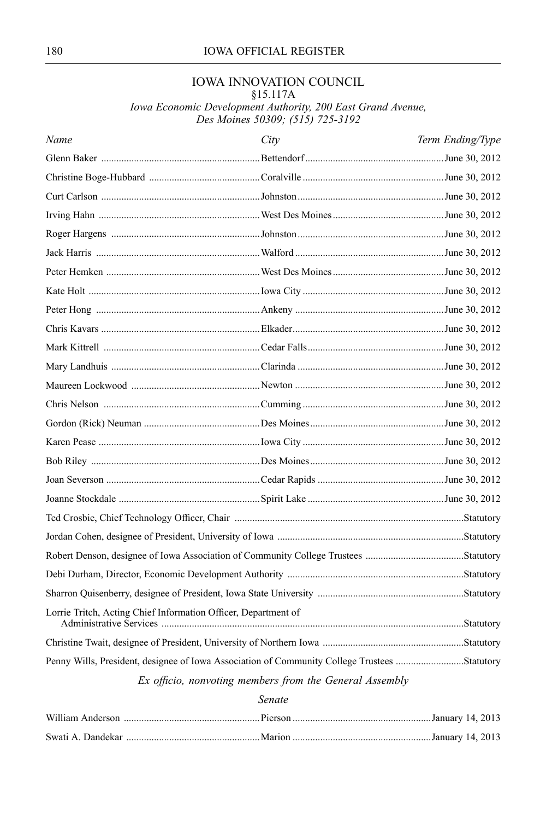### 180 IOWA OFFICIAL REGISTER

# IOWA INNOVATION COUNCIL

§15.117A

*Iowa Economic Development Authority, 200 East Grand Avenue, Des Moines 50309; (515) 725-3192*

| Name                                                                                         | City | Term Ending/Type |  |
|----------------------------------------------------------------------------------------------|------|------------------|--|
|                                                                                              |      |                  |  |
|                                                                                              |      |                  |  |
|                                                                                              |      |                  |  |
|                                                                                              |      |                  |  |
|                                                                                              |      |                  |  |
|                                                                                              |      |                  |  |
|                                                                                              |      |                  |  |
|                                                                                              |      |                  |  |
|                                                                                              |      |                  |  |
|                                                                                              |      |                  |  |
|                                                                                              |      |                  |  |
|                                                                                              |      |                  |  |
|                                                                                              |      |                  |  |
|                                                                                              |      |                  |  |
|                                                                                              |      |                  |  |
|                                                                                              |      |                  |  |
|                                                                                              |      |                  |  |
|                                                                                              |      |                  |  |
|                                                                                              |      |                  |  |
|                                                                                              |      |                  |  |
|                                                                                              |      |                  |  |
|                                                                                              |      |                  |  |
|                                                                                              |      |                  |  |
|                                                                                              |      |                  |  |
| Lorrie Tritch, Acting Chief Information Officer, Department of                               |      |                  |  |
|                                                                                              |      |                  |  |
| Penny Wills, President, designee of Iowa Association of Community College Trustees Statutory |      |                  |  |
| Ex officio, nonvoting members from the General Assembly                                      |      |                  |  |

### *Senate*